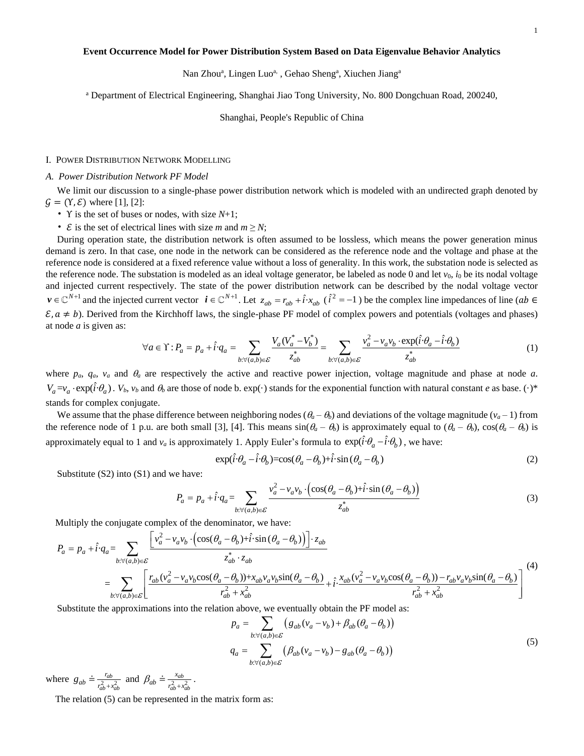### **Event Occurrence Model for Power Distribution System Based on Data Eigenvalue Behavior Analytics**

Nan Zhou<sup>a</sup>, Lingen Luo<sup>a,</sup>, Gehao Sheng<sup>a</sup>, Xiuchen Jiang<sup>a</sup>

<sup>a</sup> Department of Electrical Engineering, Shanghai Jiao Tong University, No. 800 Dongchuan Road, 200240,

Shanghai, People's Republic of China

## I. POWER DISTRIBUTION NETWORK MODELLING

### *A. Power Distribution Network PF Model*

We limit our discussion to a single-phase power distribution network which is modeled with an undirected graph denoted by  $\mathcal{G} = (\Upsilon, \mathcal{E})$  where [1], [2]:

- Υ is the set of buses or nodes, with size *N*+1;
- $\mathcal{E}$  is the set of electrical lines with size *m* and  $m \geq N$ ;

During operation state, the distribution network is often assumed to be lossless, which means the power generation minus demand is zero. In that case, one node in the network can be considered as the reference node and the voltage and phase at the reference node is considered at a fixed reference value without a loss of generality. In this work, the substation node is selected as the reference node. The substation is modeled as an ideal voltage generator, be labeled as node 0 and let  $v_0$ ,  $i_0$  be its nodal voltage and injected current respectively. The state of the power distribution network can be described by the nodal voltage vector *v* ∈ ℂ<sup>*N*+1</sup> and the injected current vector  $\mathbf{i} \in \mathbb{C}^{N+1}$ . Let  $z_{ab} = r_{ab} + \hat{i} \cdot x_{ab}$  ( $\hat{i}^2 = -1$ ) be the complex line impedances of line (*ab* ∈  $\mathbf{g}$ ,  $a \neq b$ ). Derived from the Kirchhoff laws, the single *ε*, *a* ≠ *b*). Derived from the Kirchhoff laws, the single-phase PF model of complex powers and potentials (voltages and phases) at node *a* is given as:<br>  $\forall a \in \Upsilon : P_a = p_a + \hat{i} \cdot q_a = \sum_{b: \forall (a,b) \in \mathcal{E}} \frac{V_a (V_a^* - V_b^*)}{z_{ab$ at node *a* is given as:

$$
\forall a \in \Upsilon : P_a = p_a + \hat{i} \cdot q_a = \sum_{b: \forall (a,b) \in \mathcal{E}} \frac{V_a (V_a^* - V_b^*)}{z_{ab}^*} = \sum_{b: \forall (a,b) \in \mathcal{E}} \frac{v_a^2 - v_a v_b \cdot \exp(\hat{i} \cdot \theta_a - \hat{i} \cdot \theta_b)}{z_{ab}^*}
$$
(1)

where  $p_a$ ,  $q_a$ ,  $v_a$  and  $\theta_a$  are respectively the active and reactive power injection, voltage magnitude and phase at node *a*.  $V_a = v_a \cdot \exp(\hat{i} \cdot \theta_a)$ .  $V_b$ ,  $v_b$  and  $\theta_b$  are those of node b.  $\exp(\cdot)$  stands for the exponential function with natural constant *e* as base.  $(\cdot)^*$ stands for complex conjugate.

We assume that the phase difference between neighboring nodes ( $\theta_a - \theta_b$ ) and deviations of the voltage magnitude ( $v_a - 1$ ) from the reference node of 1 p.u. are both small [3], [4]. This means  $sin(\theta_a - \theta_b)$  is approximately equal to  $(\theta_a - \theta_b)$ ,  $cos(\theta_a - \theta_b)$  is approximately equal to 1 and *v<sub>a</sub>* is approximately 1. Apply Euler's formula to  $\exp(\hat{i}\cdot\theta_a - \hat{i}\cdot\theta_b)$ , we have:<br> $\exp(\hat{i}\cdot\theta_a - \hat{i}\cdot\theta_b) = \cos(\theta_a - \theta_b) + \hat{i}\cdot\sin(\theta_a - \theta_b)$  (2)

$$
\exp(\hat{i}\cdot\theta_a - \hat{i}\cdot\theta_b) = \cos(\theta_a - \theta_b) + \hat{i}\cdot\sin(\theta_a - \theta_b)
$$
\n(2)

Substitute (S2) into (S1) and we have:

and we have:  
\n
$$
P_a = p_a + \hat{i} \cdot q_a = \sum_{b: \forall (a,b) \in \mathcal{E}} \frac{v_a^2 - v_a v_b \cdot (\cos(\theta_a - \theta_b) + \hat{i} \cdot \sin(\theta_a - \theta_b))}{z_{ab}^*}
$$
\n(3)  
\nmplex of the denominator, we have:  
\n
$$
v_a^2 - v_a v_b \cdot (\cos(\theta_a - \theta_b) + \hat{i} \cdot \sin(\theta_a - \theta_b)) \cdot z_{ab}
$$

Multiply the conjugate complex of the denominator, we have:

$$
P_a = p_a + \hat{i} \cdot q_a = \sum_{b: \forall (a,b) \in \mathcal{E}} \frac{v_a^2 - v_a v_b \cdot (\cos(\theta_a - \theta_b) + i \cdot \sin(\theta_a - \theta_b))}{z_{ab}^*}
$$
(3)  
\nMultiply the conjugate complex of the denominator, we have:  
\n
$$
P_a = p_a + \hat{i} \cdot q_a = \sum_{b: \forall (a,b) \in \mathcal{E}} \frac{\left[ v_a^2 - v_a v_b \cdot (\cos(\theta_a - \theta_b) + \hat{i} \cdot \sin(\theta_a - \theta_b)) \right] \cdot z_{ab}}{z_{ab}^* \cdot z_{ab}}
$$
  
\n
$$
= \sum_{b: \forall (a,b) \in \mathcal{E}} \left[ \frac{r_{ab} (v_a^2 - v_a v_b \cos(\theta_a - \theta_b)) + x_{ab} v_a v_b \sin(\theta_a - \theta_b)}{r_{ab}^2 + x_{ab}^2} + \hat{i} \cdot \frac{x_{ab} (v_a^2 - v_a v_b \cos(\theta_a - \theta_b)) - r_{ab} v_a v_b \sin(\theta_a - \theta_b)}{r_{ab}^2 + x_{ab}^2} \right]
$$
(4)

Substitute the approximations into the relation above, we eventually obtain the PF model as:<br>  $p_a = \sum (g_{ab}(v_a - v_b) + \beta_{ab}(\theta_a - \theta_b))$ 

$$
p_a = \sum_{b:\forall (a,b)\in \mathcal{E}} \left( g_{ab}(v_a - v_b) + \beta_{ab}(\theta_a - \theta_b) \right)
$$
  

$$
q_a = \sum_{b:\forall (a,b)\in \mathcal{E}} \left( \beta_{ab}(v_a - v_b) - g_{ab}(\theta_a - \theta_b) \right)
$$
 (5)

where  $g_{ab} \doteq \frac{r_{ab}}{r^2 + r^2}$  $ab + x_{ab}$ *r*  $g_{ab} \doteq \frac{r_{ab}}{r_{ab}^2 + x_{ab}^2}$  and  $\beta_{ab} \doteq \frac{x_{ab}}{r_{ab}^2 + x_{ab}^2}$  $ab + x_{ab}$ *x*  $\beta_{ab} \doteq \frac{x_{ab}}{r_{ab}^2 + x_{ab}^2}$ .

The relation (5) can be represented in the matrix form as: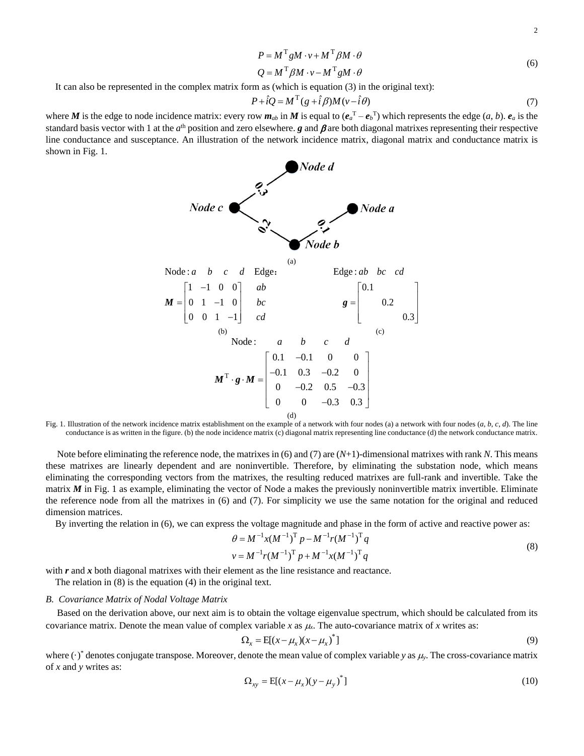<span id="page-1-0"></span>
$$
\mathbf{2} \\
$$

$$
P = M^{\mathrm{T}} g M \cdot v + M^{\mathrm{T}} \beta M \cdot \theta \tag{6}
$$

$$
Q = M^{\mathrm{T}} \beta M \cdot v - M^{\mathrm{T}} g M \cdot \theta \tag{6}
$$

It can also be represented in the complex matrix form as (which is equation (3) in the original text):

$$
P + \hat{i}Q = M^{\mathrm{T}}(g + \hat{i}\beta)M(v - \hat{i}\theta)
$$
\n(7)

where *M* is the edge to node incidence matrix: every row  $m_{ab}$  in *M* is equal to  $(e_a^T - e_b^T)$  which represents the edge  $(a, b)$ .  $e_a$  is the standard basis vector with 1 at the  $a<sup>th</sup>$  position and zero elsewhere.  $g$  and  $\beta$  are both diagonal matrixes representing their respective line conductance and susceptance. An illustration of the network incidence matrix, diagonal matrix and conductance matrix is shown in Fig. 1.



<span id="page-1-1"></span>Fig. 1. Illustration of the network incidence matrix establishment on the example of a network with four nodes (a) a network with four nodes (*a*, *b*, *c*, *d*). The line conductance is as written in the figure. (b) the node incidence matrix (c) diagonal matrix representing line conductance (d) the network conductance matrix.

Note before eliminating the reference node, the matrixes in (6) and (7) are (*N*+1)-dimensional matrixes with rank *N*. This means these matrixes are linearly dependent and are noninvertible. Therefore, by eliminating the substation node, which means eliminating the corresponding vectors from the matrixes, the resulting reduced matrixes are full-rank and invertible. Take the matrix *M* in Fig. 1 as example, eliminating the vector of Node a makes the previously noninvertible matrix invertible. Eliminate the reference node from all the matrixes in (6) and (7). For simplicity we use the same notation for the original and reduced dimension matrices.

By inverting the relation in (6), we can express the voltage magnitude and phase in the form of active and reactive power as:<br>  $\theta = M^{-1}x(M^{-1})^T p - M^{-1}r(M^{-1})^T q$ 

$$
\theta = M^{-1} x (M^{-1})^{\mathrm{T}} p - M^{-1} r (M^{-1})^{\mathrm{T}} q
$$
  
\n
$$
v = M^{-1} r (M^{-1})^{\mathrm{T}} p + M^{-1} x (M^{-1})^{\mathrm{T}} q
$$
 (8)

with *r* and *x* both diagonal matrixes with their element as the line resistance and reactance.

The relation in (8) is the equation (4) in the original text.

## *B. Covariance Matrix of Nodal Voltage Matrix*

Based on the derivation above, our next aim is to obtain the voltage eigenvalue spectrum, which should be calculated from its covariance matrix. Denote the mean value of complex variable  $x$  as  $\mu_x$ . The auto-covariance matrix of  $x$  writes as:

<span id="page-1-2"></span>
$$
\Omega_x = \mathbb{E}[(x - \mu_x)(x - \mu_x)^*]
$$
\n(9)

where  $(\cdot)$ <sup>\*</sup> denotes conjugate transpose. Moreover, denote the mean value of complex variable *y* as  $\mu$ <sub>y</sub>. The cross-covariance matrix of *x* and *y* writes as:

$$
\Omega_{xy} = \mathbb{E}[(x - \mu_x)(y - \mu_y)^*]
$$
\n(10)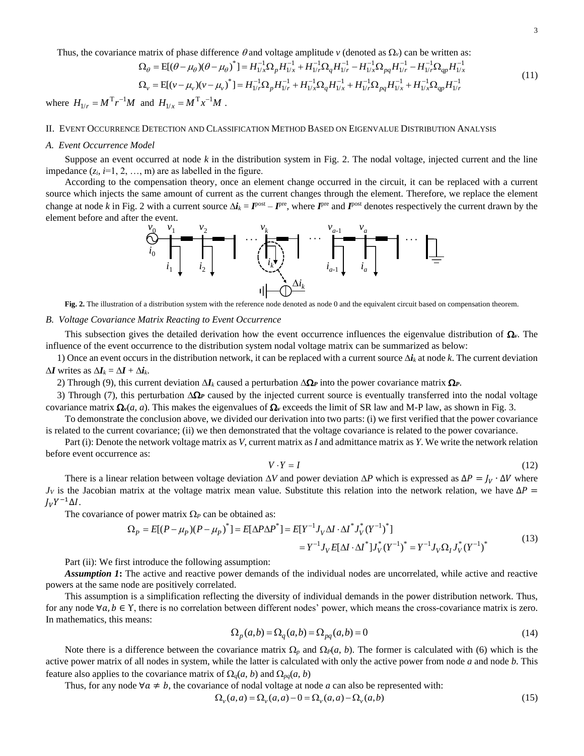Thus, the covariance matrix of phase difference  $\theta$  and voltage amplitude *v* (denoted as  $\Omega$ <sub>*v*</sub>) can be written as:

covariance matrix of phase difference θ and voltage amplitude *v* (denoted as 
$$
\Omega_v
$$
) can be written as:  
\n
$$
\Omega_{\theta} = E[(\theta - \mu_{\theta})(\theta - \mu_{\theta})^{\dagger}] = H_{1/x}^{-1} \Omega_p H_{1/x}^{-1} + H_{1/x}^{-1} \Omega_q H_{1/r}^{-1} - H_{1/x}^{-1} \Omega_{pq} H_{1/r}^{-1} - H_{1/x}^{-1} \Omega_{qp} H_{1/x}^{-1}
$$
\n
$$
\Omega_v = E[(v - \mu_v)(v - \mu_v)^{\dagger}] = H_{1/r}^{-1} \Omega_p H_{1/r}^{-1} + H_{1/x}^{-1} \Omega_q H_{1/x}^{-1} + H_{1/x}^{-1} \Omega_{pq} H_{1/x}^{-1} + H_{1/x}^{-1} \Omega_{qp} H_{1/r}^{-1}
$$
\n(11)

where  $H_{1/r} = M^{T} r^{-1} M$  and  $H_{1/x} = M^{T} x^{-1} M$ .

#### II. EVENT OCCURRENCE DETECTION AND CLASSIFICATION METHOD BASED ON EIGENVALUE DISTRIBUTION ANALYSIS

#### *A. Event Occurrence Model*

Suppose an event occurred at node *k* in the distribution system in Fig. 2. The nodal voltage, injected current and the line impedance  $(z_i, i=1, 2, ..., m)$  are as labelled in the figure.

According to the compensation theory, once an element change occurred in the circuit, it can be replaced with a current source which injects the same amount of current as the current changes through the element. Therefore, we replace the element change at node *k* in Fig. 2 with a current source  $\Delta i_k = I^{\text{post}} - I^{\text{pre}}$ , where  $I^{\text{pre}}$  and  $I^{\text{post}}$  denotes respectively the current drawn by the element before and after the event.

<span id="page-2-0"></span>

**Fig. 2.** The illustration of a distribution system with the reference node denoted as node 0 and the equivalent circuit based on compensation theorem.

# *B. Voltage Covariance Matrix Reacting to Event Occurrence*

This subsection gives the detailed derivation how the event occurrence influences the eigenvalue distribution of  $\Omega$ . The influence of the event occurrence to the distribution system nodal voltage matrix can be summarized as below:

1) Once an event occurs in the distribution network, it can be replaced with a current source  $\Delta i_k$  at node k. The current deviation  $\Delta I$  writes as  $\Delta I_k = \Delta I + \Delta i_k$ .

2) Through (9), this current deviation  $\Delta I_k$  caused a perturbation  $\Delta \Omega_r$  into the power covariance matrix  $\Omega_r$ .

3) Through (7), this perturbation  $\Delta \Omega$  caused by the injected current source is eventually transferred into the nodal voltage covariance matrix  $\Omega_{\nu}(a, a)$ . This makes the eigenvalues of  $\Omega_{\nu}$  exceeds the limit of SR law and M-P law, as shown in Fig. 3.

To demonstrate the conclusion above, we divided our derivation into two parts: (i) we first verified that the power covariance is related to the current covariance; (ii) we then demonstrated that the voltage covariance is related to the power covariance.

Part (i): Denote the network voltage matrix as *V*, current matrix as *I* and admittance matrix as *Y*. We write the network relation before event occurrence as:

$$
V \cdot Y = I \tag{12}
$$

There is a linear relation between voltage deviation  $\Delta V$  and power deviation  $\Delta P$  which is expressed as  $\Delta P = J_V \cdot \Delta V$  where  $J_V$  is the Jacobian matrix at the voltage matrix mean value. Substitute this relation into the network relation, we have  $\Delta P =$  $J_V Y^{-1} \Delta I$ . The covariance of power matrix  $\Omega_P$  can be obtained as:<br>  $\Omega_P = E[(P - \mu_P)(P - \mu_P)^*] = E[\Delta P \Delta P^*] = E[Y^{-1} J_V \Delta I \cdot \Delta I^* J_V^* (Y^{-1})^*]$ 

natrix at the voltage matrix mean value. Substitute this relation into the network relation, we have 
$$
\Delta P =
$$
  
of power matrix  $\Omega_P$  can be obtained as:  

$$
\Omega_P = E[(P - \mu_P)(P - \mu_P)^{\dagger}] = E[\Delta P \Delta P^{\dagger}] = E[Y^{-1} J_V \Delta I \cdot \Delta I^{\dagger} J_V^{\dagger} (Y^{-1})^{\dagger}]
$$

$$
= Y^{-1} J_V E[\Delta I \cdot \Delta I^{\dagger}] J_V^{\dagger} (Y^{-1})^{\dagger} = Y^{-1} J_V \Omega_I J_V^{\dagger} (Y^{-1})^{\dagger}
$$
(13)

Part (ii): We first introduce the following assumption:

*Assumption 1***:** The active and reactive power demands of the individual nodes are uncorrelated, while active and reactive powers at the same node are positively correlated.

This assumption is a simplification reflecting the diversity of individual demands in the power distribution network. Thus, for any node  $\forall a, b \in \Upsilon$ , there is no correlation between different nodes' power, which means the cross-covariance matrix is zero. In mathematics, this means:

<span id="page-2-1"></span>
$$
\Omega_p(a,b) = \Omega_q(a,b) = \Omega_{pq}(a,b) = 0
$$
\n(14)

Note there is a difference between the covariance matrix  $\Omega_p$  and  $\Omega_p(a, b)$ . The former is calculated with (6) which is the active power matrix of all nodes in system, while the latter is calculated with only the active power from node *a* and node *b*. This feature also applies to the covariance matrix of  $\Omega_q(a, b)$  and  $\Omega_{pq}(a, b)$ 

Thus, for any node  $\forall a \neq b$ , the covariance of nodal voltage at node *a* can also be represented with:<br>  $\Omega_{\nu}(a, a) = \Omega_{\nu}(a, a) - 0 = \Omega_{\nu}(a, a) - \Omega_{\nu}(a, b)$  (15)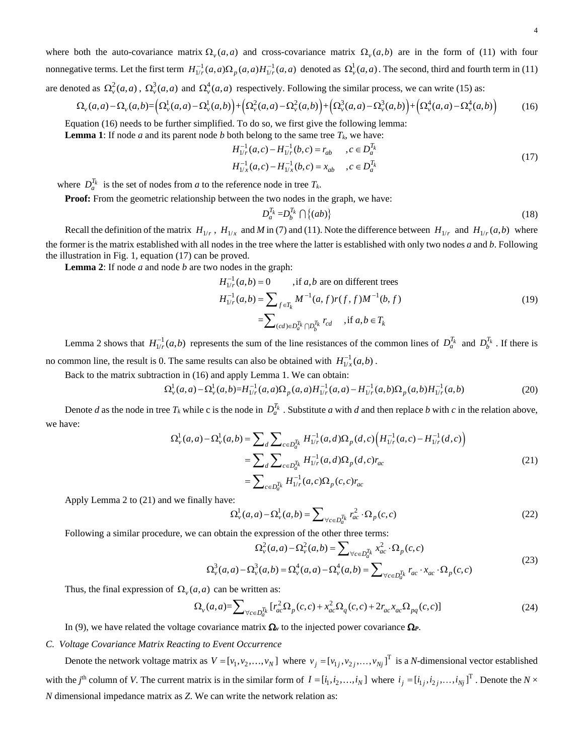where both the auto-covariance matrix  $\Omega_{\nu}(a, a)$  and cross-covariance matrix  $\Omega_{\nu}(a, b)$  are in the form of [\(11\)](#page-2-0) with four nonnegativeterms. Let the first term  $H_{1/r}^{-1}(a,a)\Omega_p(a,a)H_{1/r}^{-1}(a,a)$  denoted as  $\Omega_{\nu}^1(a,a)$ . The second, third and fourth term i[n \(11\)](#page-2-0)<br>are denoted as  $\Omega_{\nu}^2(a,a)$ ,  $\Omega_{\nu}^3(a,a)$  and  $\Omega_{\nu}^4(a,a)$  respectively. Following are denoted as  $\Omega^2_\nu(a,a)$ ,  $\Omega^3_\nu(a,a)$  and  $\Omega^4_\nu(a,a)$  respectively. Following the similar process, we can write (15) as:

$$
\Omega_{\nu}(a,a) - \Omega_{\nu}(a,b) = \left(\Omega_{\nu}^{1}(a,a) - \Omega_{\nu}^{1}(a,b)\right) + \left(\Omega_{\nu}^{2}(a,a) - \Omega_{\nu}^{2}(a,b)\right) + \left(\Omega_{\nu}^{3}(a,a) - \Omega_{\nu}^{3}(a,b)\right) + \left(\Omega_{\nu}^{4}(a,a) - \Omega_{\nu}^{4}(a,b)\right) \tag{16}
$$

Equatio[n \(16\)](#page-3-0) needs to be further simplified. To do so, we first give the following lemma:

**Lemma 1**: If node *a* and its parent node *b* both belong to the same tree  $T_k$ , we have:<br>  $H_{1/r}^{-1}(a,c) - H_{1/r}^{-1}(b,c) = r_{ab}$ ,  $c \in D_a^{T_k}$ *T*

$$
H_{1/r}^{-1}(a,c) - H_{1/r}^{-1}(b,c) = r_{ab}, \quad c \in D_a^{T_k}
$$
  
\n
$$
H_{1/x}^{-1}(a,c) - H_{1/x}^{-1}(b,c) = x_{ab}, \quad c \in D_a^{T_k}
$$
\n(17)

where  $D_a^{T_k}$  is the set of nodes from *a* to the reference node in tree  $T_k$ .

**Proof:** From the geometric relationship between the two nodes in the graph, we have:

<span id="page-3-1"></span><span id="page-3-0"></span>
$$
D_a^{\mathcal{T}_k} = D_b^{\mathcal{T}_k} \cap \{ (ab) \} \tag{18}
$$

Recall the definition of the matrix  $H_{1/r}$ ,  $H_{1/x}$  and  $M$  i[n \(7\)](#page-1-0) an[d \(11\).](#page-2-0) Note the difference between  $H_{1/r}$  and  $H_{1/r}(a,b)$  where the former is the matrix established with all nodes in the tree where the latter is established with only two nodes *a* and *b*. Following the illustration in [Fig. 1,](#page-1-1) equation [\(17\)](#page-3-1) can be proved.

**Lemma 2:** If node *a* and node *b* are two nodes in the graph:  
\n
$$
H_{1/r}^{-1}(a,b) = 0 \qquad \text{, if } a,b \text{ are on different trees}
$$
\n
$$
H_{1/r}^{-1}(a,b) = \sum_{f \in T_k} M^{-1}(a,f)r(f,f)M^{-1}(b,f)
$$
\n
$$
= \sum_{(cd) \in D_a^T k \cap D_b^T k} r_{cd} \qquad \text{, if } a,b \in T_k
$$
\n(19)

Lemma 2 shows that  $H_{1/r}^{-1}(a,b)$  represents the sum of the line resistances of the common lines of  $D_a^{T_k}$  and  $D_b^{T_k}$ . If there is no common line, the result is 0. The same results can also be obtained with  $H_{1/x}^{-1}(a,b)$ .

Back to the matrix subtraction in (16) and apply Lemma 1. We can obtain:

1. The same results can also be obtained with  $H_{1/x}^{-1}(a,b)$ .<br>
tion in (16) and apply Lemma 1. We can obtain:<br>  $\Omega_y^1(a,a) - \Omega_y^1(a,b) = H_{1/r}^{-1}(a,a) \Omega_p(a,a) H_{1/r}^{-1}(a,a) - H_{1/r}^{-1}(a,b) \Omega_p(a,b) H_{1/r}^{-1}(a,b)$  (20)

Denote *d* as the node in tree  $T_k$  while c is the node in  $D_a^{T_k}$ . Substitute *a* with *d* and then replace *b* with *c* in the relation above,<br>ave:<br> $\Omega_v^1(a, a) - \Omega_v^1(a, b) = \sum_d \sum_{c \in D_a^{T_k}} H_{1/r}^{-1}(a, d) \Omega_p(d, c) (H_{1/r}^{-1}(a, c) - H$ we have:  $\frac{1}{N_v}(a,a) - \Omega_v^1(a,b) = \sum_{r} \sum_{r} H_{1/r}^{-1}(a,d) \Omega_v(d,c) \Big( H_{1/r}^{-1}(a,c) - H_{1/r}^{-1}$  $\frac{1}{\sqrt{1-c}}(a,d)\Omega_{\infty}(d,c)\Big(H_{1/c}^{-1}(a,c)-H_{1/c}^{-1}(d,c)\Big)$ 

$$
L_{\nu}^{L}(a,a) - \Omega_{\nu}^{L}(a,b) = H_{1/r}^{-1}(a,a)\Omega_{p}(a,a)H_{1/r}^{-1}(a,a) - H_{1/r}^{-1}(a,b)\Omega_{p}(a,b)H_{1/r}^{-1}(a,b)
$$
\n
$$
T_{k} \text{ while c is the node in } D_{a}^{T_{k}}. \text{ Substitute } a \text{ with } d \text{ and then replace } b \text{ with } c \text{ in the relation above,}
$$
\n
$$
\Omega_{\nu}^{L}(a,a) - \Omega_{\nu}^{L}(a,b) = \sum_{d} \sum_{c \in D_{d}^{T_{k}}} H_{1/r}^{-1}(a,d)\Omega_{p}(d,c) \Big( H_{1/r}^{-1}(a,c) - H_{1/r}^{-1}(d,c) \Big)
$$
\n
$$
= \sum_{d} \sum_{c \in D_{d}^{T_{k}}} H_{1/r}^{-1}(a,d)\Omega_{p}(d,c)r_{ac}
$$
\n
$$
= \sum_{c \in D_{d}^{T_{k}}} H_{1/r}^{-1}(a,c)\Omega_{p}(c,c)r_{ac}
$$
\n(21)

Apply Lemma 2 to [\(21\)](#page-3-2) and we finally have:

<span id="page-3-2"></span>
$$
\Omega_{\nu}^{1}(a,a) - \Omega_{\nu}^{1}(a,b) = \sum_{\forall c \in D_{a}^{T_{k}}} r_{ac}^{2} \cdot \Omega_{p}(c,c)
$$
\n(22)

Following a similar procedure, we can obtain the expression of the other three terms:  
\n
$$
\Omega_v^2(a, a) - \Omega_v^2(a, b) = \sum_{\forall c \in D_a^{T_k}} x_{ac}^2 \cdot \Omega_p(c, c)
$$
\n
$$
\Omega_v^3(a, a) - \Omega_v^3(a, b) = \Omega_v^4(a, a) - \Omega_v^4(a, b) = \sum_{\forall c \in D_a^{T_k}} r_{ac} \cdot x_{ac} \cdot \Omega_p(c, c)
$$
\n(23)

$$
\sum_{\forall c \in D_{a}^{\alpha}} c_{c}^{\beta}(\alpha, a) - \Omega_{\nu}^{\beta}(\alpha, b) = \Omega_{\nu}^{\beta}(\alpha, a) - \Omega_{\nu}^{\beta}(\alpha, b) = \sum_{\forall c \in D_{a}^{\gamma}} r_{ac} \cdot x_{ac} \cdot \Omega_{p}(c, c)
$$
\n(23)

Thus, the final expression of  $\Omega_{\nu}(a, a)$  can be written as:

$$
(a, a) \text{ can be written as:}
$$
\n
$$
\Omega_{\nu}(a, a) = \sum_{\forall c \in D_a^{\mathcal{T}_k}} \left[ r_{ac}^2 \Omega_p(c, c) + x_{ac}^2 \Omega_q(c, c) + 2r_{ac} x_{ac} \Omega_{pq}(c, c) \right]
$$
\n
$$
(24)
$$

In (9), we have related the voltage covariance matrix  $\Omega$ <sub>*v*</sub> to the injected power covariance  $\Omega$ *v*.

# *C. Voltage Covariance Matrix Reacting to Event Occurrence*

Denote the network voltage matrix as  $V = [v_1, v_2, ..., v_N]$  where  $v_j = [v_{1j}, v_{2j}, ..., v_{Nj}]$ <sup>T</sup> is a *N*-dimensional vector established with the *j*<sup>th</sup> column of *V*. The current matrix is in the similar form of  $I = [i_1, i_2, ..., i_N]$  where  $i_j = [i_1, i_2, ..., i_N]$ <sup>T</sup>. Denote the  $N \times$ *N* dimensional impedance matrix as *Z*. We can write the network relation as: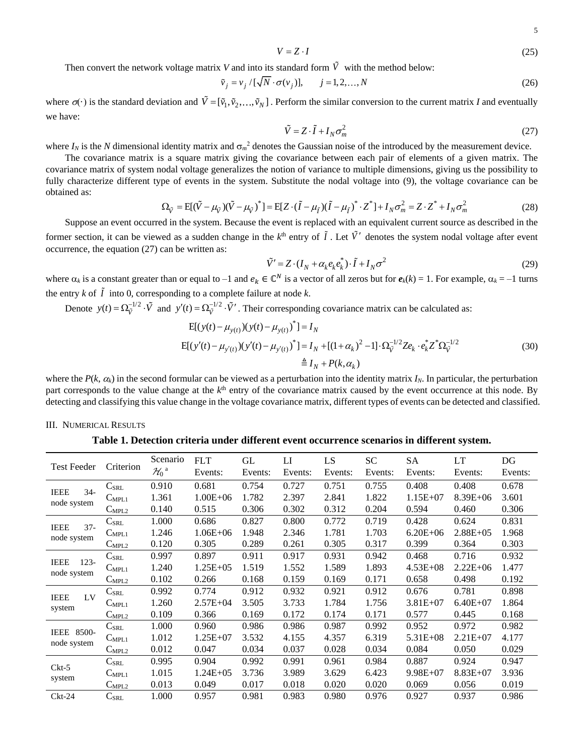$$
V = Z \cdot I \tag{25}
$$

Then convert the network voltage matrix V and into its standard form V with the method below:  
\n
$$
\tilde{v}_j = v_j / [\sqrt{N} \cdot \sigma(v_j)], \qquad j = 1, 2, ..., N
$$
\n(26)

where  $\sigma(\cdot)$  is the standard deviation and  $\tilde{V} = [\tilde{v}_1, \tilde{v}_2, ..., \tilde{v}_N]$ . Perform the similar conversion to the current matrix *I* and eventually we have:

<span id="page-4-0"></span>
$$
\tilde{V} = Z \cdot \tilde{I} + I_N \sigma_m^2 \tag{27}
$$

where  $I_N$  is the N dimensional identity matrix and  $\sigma_m^2$  denotes the Gaussian noise of the introduced by the measurement device.

The covariance matrix is a square matrix giving the covariance between each pair of elements of a given matrix. The covariance matrix of system nodal voltage generalizes the notion of variance to multiple dimensions, giving us the possibility to fullycharacterize different type of events in the system. Substitute the nodal voltage into (9), the voltage covariance can be obtained as:<br>  $\Omega_{\tilde{V}} = E[(\tilde{V} - \mu_{\tilde{V}})(\tilde{V} - \mu_{\tilde{V}})^*] = E[Z \cdot (\tilde{I} - \mu_{\tilde{I}})(\tilde{I} - \$ obtained as:

$$
\Omega_{\tilde{V}} = E[(\tilde{V} - \mu_{\tilde{V}})(\tilde{V} - \mu_{\tilde{V}})^*] = E[Z \cdot (\tilde{I} - \mu_{\tilde{I}})(\tilde{I} - \mu_{\tilde{I}})^* \cdot Z^*] + I_N \sigma_m^2 = Z \cdot Z^* + I_N \sigma_m^2
$$
\n(28)

Suppose an event occurred in the system. Because the event is replaced with an equivalent current source as described in the former section, it can be viewed as a sudden change in the  $k^{\text{th}}$  entry of  $\tilde{l}$ . Let  $\tilde{V}'$  denotes the system nodal voltage after event occurrence, the equatio[n \(27\)](#page-4-0) can be written as:

$$
\tilde{V}' = Z \cdot (I_N + \alpha_k e_k e_k^*) \cdot \tilde{I} + I_N \sigma^2
$$
\n(29)

where  $\alpha_k$  is a constant greater than or equal to  $-1$  and  $e_k \in \mathbb{C}^N$  is a vector of all zeros but for  $e_k(k) = 1$ . For example,  $\alpha_k = -1$  turns the entry  $k$  of  $I$  into 0, corresponding to a complete failure at node  $k$ .

Denote 
$$
y(t) = \Omega_{\tilde{V}}^{-1/2} \cdot \tilde{V}
$$
 and  $y'(t) = \Omega_{\tilde{V}}^{-1/2} \cdot \tilde{V}'$ . Their corresponding covariance matrix can be calculated as:  
\n
$$
E[(y(t) - \mu_{y(t)}) (y(t) - \mu_{y(t)})^*] = I_N
$$
\n
$$
E[(y'(t) - \mu_{y'(t)}) (y'(t) - \mu_{y'(t)})^*] = I_N + [(1 + \alpha_k)^2 - 1] \cdot \Omega_{\tilde{V}}^{-1/2} Z e_k \cdot e_k^* Z^* \Omega_{\tilde{V}}^{-1/2}
$$
\n(30)  
\n
$$
\stackrel{\triangle}{=} I_N + P(k, \alpha_k)
$$

where the  $P(k, \alpha_k)$  in the second formular can be viewed as a perturbation into the identity matrix  $I_N$ . In particular, the perturbation part corresponds to the value change at the  $k^{\text{th}}$  entry of the covariance matrix caused by the event occurrence at this node. By detecting and classifying this value change in the voltage covariance matrix, different types of events can be detected and classified.

## III. NUMERICAL RESULTS

**Table 1. Detection criteria under different event occurrence scenarios in different system.**

| <b>Test Feeder</b>                    | Criterion                  | Scenario                | <b>FLT</b>    | GL      | LI      | LS.     | SC      | <b>SA</b>    | LT           | DG      |
|---------------------------------------|----------------------------|-------------------------|---------------|---------|---------|---------|---------|--------------|--------------|---------|
|                                       |                            | $\mathcal{H}_0^{\rm a}$ | Events:       | Events: | Events: | Events: | Events: | Events:      | Events:      | Events: |
| <b>IEEE</b><br>$34-$<br>node system   | $\rm C_{SRL}$              | 0.910                   | 0.681         | 0.754   | 0.727   | 0.751   | 0.755   | 0.408        | 0.408        | 0.678   |
|                                       | $C_{MPL1}$                 | 1.361                   | $1.00E + 06$  | 1.782   | 2.397   | 2.841   | 1.822   | $1.15E+07$   | $8.39E + 06$ | 3.601   |
|                                       | $C_{\rm MPL2}$             | 0.140                   | 0.515         | 0.306   | 0.302   | 0.312   | 0.204   | 0.594        | 0.460        | 0.306   |
| $37 -$<br><b>IEEE</b><br>node system  | $\mathrm{C_{SRL}}$         | 1.000                   | 0.686         | 0.827   | 0.800   | 0.772   | 0.719   | 0.428        | 0.624        | 0.831   |
|                                       | $C_{MPL1}$                 | 1.246                   | $1.06E + 06$  | 1.948   | 2.346   | 1.781   | 1.703   | $6.20E + 06$ | $2.88E + 05$ | 1.968   |
|                                       | $C_{\text{MPL2}}$          | 0.120                   | 0.305         | 0.289   | 0.261   | 0.305   | 0.317   | 0.399        | 0.364        | 0.303   |
| <b>IEEE</b><br>$123 -$<br>node system | $C_{\footnotesize\rm SRL}$ | 0.997                   | 0.897         | 0.911   | 0.917   | 0.931   | 0.942   | 0.468        | 0.716        | 0.932   |
|                                       | $C_{MPL1}$                 | 1.240                   | $1.25E + 05$  | 1.519   | 1.552   | 1.589   | 1.893   | $4.53E + 08$ | $2.22E + 06$ | 1.477   |
|                                       | $C_{\rm MPL2}$             | 0.102                   | 0.266         | 0.168   | 0.159   | 0.169   | 0.171   | 0.658        | 0.498        | 0.192   |
| LV<br><b>IEEE</b><br>system           | $\mathrm{C}_{\text{SRL}}$  | 0.992                   | 0.774         | 0.912   | 0.932   | 0.921   | 0.912   | 0.676        | 0.781        | 0.898   |
|                                       | $C_{MPL1}$                 | 1.260                   | $2.57E + 04$  | 3.505   | 3.733   | 1.784   | 1.756   | $3.81E + 07$ | $6.40E + 07$ | 1.864   |
|                                       | $C_{\text{MPL2}}$          | 0.109                   | 0.366         | 0.169   | 0.172   | 0.174   | 0.171   | 0.577        | 0.445        | 0.168   |
| IEEE<br>8500-<br>node system          | $C_{SRL}$                  | 1.000                   | 0.960         | 0.986   | 0.986   | 0.987   | 0.992   | 0.952        | 0.972        | 0.982   |
|                                       | $C_{MPL1}$                 | 1.012                   | $1.25E+07$    | 3.532   | 4.155   | 4.357   | 6.319   | $5.31E + 08$ | $2.21E + 07$ | 4.177   |
|                                       | $C_{\text{MPL2}}$          | 0.012                   | 0.047         | 0.034   | 0.037   | 0.028   | 0.034   | 0.084        | 0.050        | 0.029   |
| $Ckt-5$<br>system                     | $C_{\rm SRL}$              | 0.995                   | 0.904         | 0.992   | 0.991   | 0.961   | 0.984   | 0.887        | 0.924        | 0.947   |
|                                       | $C_{MPL1}$                 | 1.015                   | $1.24E + 0.5$ | 3.736   | 3.989   | 3.629   | 6.423   | $9.98E + 07$ | $8.83E+07$   | 3.936   |
|                                       | $C_{\text{MPL2}}$          | 0.013                   | 0.049         | 0.017   | 0.018   | 0.020   | 0.020   | 0.069        | 0.056        | 0.019   |
| $Ckt-24$                              | $\mathbf{C}_{\text{SRL}}$  | 1.000                   | 0.957         | 0.981   | 0.983   | 0.980   | 0.976   | 0.927        | 0.937        | 0.986   |